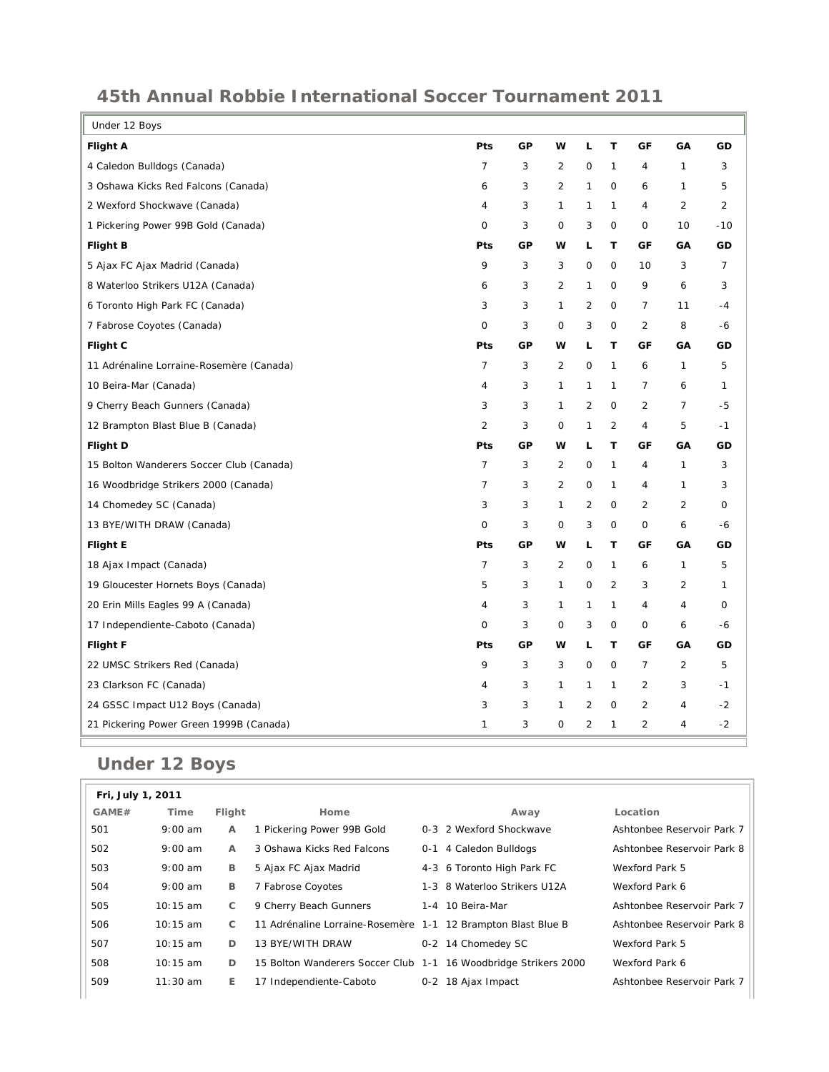| Under 12 Boys                            |                |            |                |                     |                     |                |                |                |
|------------------------------------------|----------------|------------|----------------|---------------------|---------------------|----------------|----------------|----------------|
| <b>Flight A</b>                          | Pts            | GP         | w              | L                   | T                   | GF             | GA             | GD             |
| 4 Caledon Bulldogs (Canada)              | $\overline{7}$ | 3          | $\overline{2}$ | $\mathsf{O}\xspace$ | $\mathbf{1}$        | $\overline{4}$ | $\mathbf{1}$   | 3              |
| 3 Oshawa Kicks Red Falcons (Canada)      | 6              | 3          | $\overline{2}$ | $\mathbf{1}$        | $\mathbf 0$         | 6              | 1              | 5              |
| 2 Wexford Shockwave (Canada)             | 4              | 3          | 1              | 1                   | 1                   | 4              | $\overline{2}$ | 2              |
| 1 Pickering Power 99B Gold (Canada)      | 0              | 3          | 0              | 3                   | 0                   | 0              | 10             | $-10$          |
| <b>Flight B</b>                          | Pts            | GP         | w              | г                   | T                   | GF             | GA             | GD             |
| 5 Ajax FC Ajax Madrid (Canada)           | 9              | 3          | 3              | 0                   | $\circ$             | 10             | 3              | $\overline{7}$ |
| 8 Waterloo Strikers U12A (Canada)        | 6              | 3          | $\overline{2}$ | $\mathbf{1}$        | $\mathbf 0$         | 9              | 6              | 3              |
| 6 Toronto High Park FC (Canada)          | 3              | 3          | 1              | $\overline{2}$      | 0                   | 7              | 11             | $-4$           |
| 7 Fabrose Coyotes (Canada)               | 0              | 3          | 0              | 3                   | 0                   | $\overline{2}$ | 8              | $-6$           |
| Flight C                                 | Pts            | GP         | w              | L                   | T                   | GF             | GA             | GD             |
| 11 Adrénaline Lorraine-Rosemère (Canada) | $\overline{7}$ | 3          | $\overline{2}$ | 0                   | 1                   | 6              | $\mathbf{1}$   | 5              |
| 10 Beira-Mar (Canada)                    | 4              | 3          | 1              | 1                   | 1                   | 7              | 6              | $\mathbf{1}$   |
| 9 Cherry Beach Gunners (Canada)          | 3              | $\sqrt{3}$ | 1              | $\overline{2}$      | 0                   | $\overline{2}$ | $\overline{7}$ | $-5$           |
| 12 Brampton Blast Blue B (Canada)        | $\overline{2}$ | 3          | $\mathsf O$    | 1                   | $\overline{c}$      | $\overline{4}$ | 5              | $-1$           |
| Flight D                                 | Pts            | GP         | w              | L                   | т                   | GF             | GA             | GD             |
| 15 Bolton Wanderers Soccer Club (Canada) | $\overline{7}$ | 3          | $\overline{2}$ | 0                   | 1                   | $\overline{4}$ | 1              | 3              |
| 16 Woodbridge Strikers 2000 (Canada)     | $\overline{7}$ | 3          | $\overline{2}$ | 0                   | 1                   | 4              | 1              | 3              |
| 14 Chomedey SC (Canada)                  | 3              | 3          | $\mathbf{1}$   | 2                   | $\mathsf{O}\xspace$ | $\overline{2}$ | $\overline{2}$ | $\mathsf O$    |
| 13 BYE/WITH DRAW (Canada)                | $\mathsf{O}$   | 3          | 0              | 3                   | 0                   | 0              | 6              | -6             |
| <b>Flight E</b>                          | Pts            | GP         | w              | L                   | т                   | GF             | GA             | GD             |
| 18 Ajax Impact (Canada)                  | $\overline{7}$ | 3          | $\overline{2}$ | 0                   | 1                   | 6              | 1              | 5              |
| 19 Gloucester Hornets Boys (Canada)      | 5              | 3          | $\mathbf{1}$   | 0                   | $\overline{2}$      | 3              | $\overline{2}$ | $\mathbf{1}$   |
| 20 Erin Mills Eagles 99 A (Canada)       | 4              | 3          | 1              | 1                   | 1                   | $\overline{4}$ | $\overline{4}$ | 0              |
| 17 Independiente-Caboto (Canada)         | $\circ$        | 3          | 0              | 3                   | $\mathbf 0$         | 0              | 6              | $-6$           |
| <b>Flight F</b>                          | Pts            | GP         | w              | L                   | т                   | GF             | GA             | GD             |
| 22 UMSC Strikers Red (Canada)            | 9              | 3          | 3              | 0                   | $\mathbf 0$         | 7              | $\overline{2}$ | 5              |
| 23 Clarkson FC (Canada)                  | 4              | 3          | 1              | 1                   | 1                   | $\overline{2}$ | 3              | $-1$           |
| 24 GSSC Impact U12 Boys (Canada)         | 3              | 3          | 1              | $\overline{2}$      | 0                   | $\overline{2}$ | $\overline{4}$ | $-2$           |
| 21 Pickering Power Green 1999B (Canada)  | $\mathbf{1}$   | 3          | 0              | 2                   | 1                   | 2              | $\overline{4}$ | $-2$           |

## **Under 12 Boys**

| Fri, July 1, 2011 |            |        |                                                                 |     |                              |                            |  |  |
|-------------------|------------|--------|-----------------------------------------------------------------|-----|------------------------------|----------------------------|--|--|
| GAME#             | Time       | Flight | Home                                                            |     | Away                         | Location                   |  |  |
| 501               | $9:00$ am  | A      | 1 Pickering Power 99B Gold                                      |     | 0-3 2 Wexford Shockwave      | Ashtonbee Reservoir Park 7 |  |  |
| 502               | $9:00$ am  | A      | 3 Oshawa Kicks Red Falcons                                      | 0-1 | 4 Caledon Bulldogs           | Ashtonbee Reservoir Park 8 |  |  |
| 503               | $9:00$ am  | в      | 5 Ajax FC Ajax Madrid                                           |     | 4-3 6 Toronto High Park FC   | Wexford Park 5             |  |  |
| 504               | $9:00$ am  | в      | 7 Fabrose Coyotes                                               |     | 1-3 8 Waterloo Strikers U12A | Wexford Park 6             |  |  |
| 505               | 10:15 am   | C      | 9 Cherry Beach Gunners                                          |     | 1-4 10 Beira-Mar             | Ashtonbee Reservoir Park 7 |  |  |
| 506               | $10:15$ am | C      | 11 Adrénaline Lorraine-Rosemère 1-1 12 Brampton Blast Blue B    |     |                              | Ashtonbee Reservoir Park 8 |  |  |
| 507               | $10:15$ am | D      | 13 BYE/WITH DRAW                                                |     | 0-2 14 Chomedey SC           | Wexford Park 5             |  |  |
| 508               | $10:15$ am | D      | 15 Bolton Wanderers Soccer Club 1-1 16 Woodbridge Strikers 2000 |     |                              | Wexford Park 6             |  |  |
| 509               | $11:30$ am | E.     | 17 Independiente-Caboto                                         |     | 0-2 18 Ajax Impact           | Ashtonbee Reservoir Park 7 |  |  |